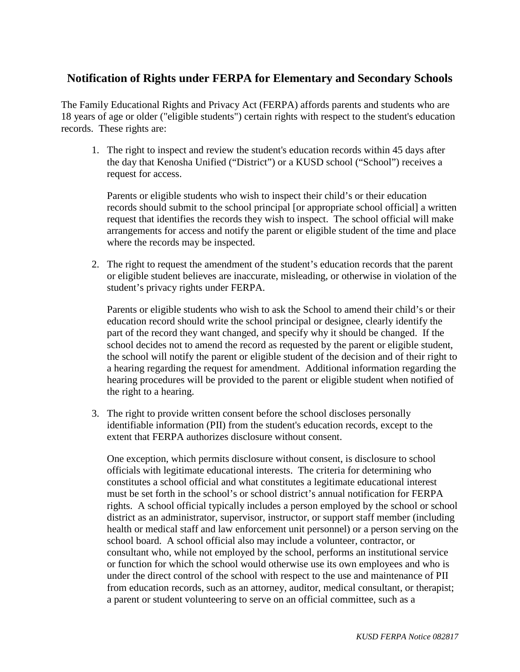## **Notification of Rights under FERPA for Elementary and Secondary Schools**

The Family Educational Rights and Privacy Act (FERPA) affords parents and students who are 18 years of age or older ("eligible students") certain rights with respect to the student's education records. These rights are:

1. The right to inspect and review the student's education records within 45 days after the day that Kenosha Unified ("District") or a KUSD school ("School") receives a request for access.

Parents or eligible students who wish to inspect their child's or their education records should submit to the school principal [or appropriate school official] a written request that identifies the records they wish to inspect. The school official will make arrangements for access and notify the parent or eligible student of the time and place where the records may be inspected.

2. The right to request the amendment of the student's education records that the parent or eligible student believes are inaccurate, misleading, or otherwise in violation of the student's privacy rights under FERPA.

Parents or eligible students who wish to ask the School to amend their child's or their education record should write the school principal or designee, clearly identify the part of the record they want changed, and specify why it should be changed. If the school decides not to amend the record as requested by the parent or eligible student, the school will notify the parent or eligible student of the decision and of their right to a hearing regarding the request for amendment. Additional information regarding the hearing procedures will be provided to the parent or eligible student when notified of the right to a hearing.

3. The right to provide written consent before the school discloses personally identifiable information (PII) from the student's education records, except to the extent that FERPA authorizes disclosure without consent.

One exception, which permits disclosure without consent, is disclosure to school officials with legitimate educational interests. The criteria for determining who constitutes a school official and what constitutes a legitimate educational interest must be set forth in the school's or school district's annual notification for FERPA rights. A school official typically includes a person employed by the school or school district as an administrator, supervisor, instructor, or support staff member (including health or medical staff and law enforcement unit personnel) or a person serving on the school board. A school official also may include a volunteer, contractor, or consultant who, while not employed by the school, performs an institutional service or function for which the school would otherwise use its own employees and who is under the direct control of the school with respect to the use and maintenance of PII from education records, such as an attorney, auditor, medical consultant, or therapist; a parent or student volunteering to serve on an official committee, such as a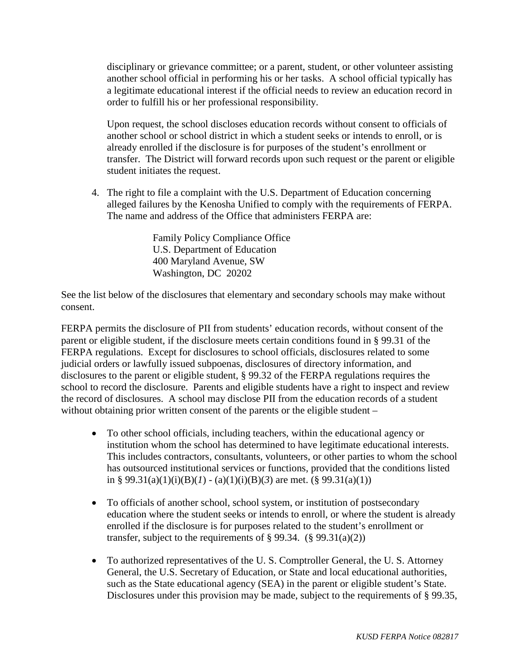disciplinary or grievance committee; or a parent, student, or other volunteer assisting another school official in performing his or her tasks. A school official typically has a legitimate educational interest if the official needs to review an education record in order to fulfill his or her professional responsibility.

Upon request, the school discloses education records without consent to officials of another school or school district in which a student seeks or intends to enroll, or is already enrolled if the disclosure is for purposes of the student's enrollment or transfer. The District will forward records upon such request or the parent or eligible student initiates the request.

4. The right to file a complaint with the U.S. Department of Education concerning alleged failures by the Kenosha Unified to comply with the requirements of FERPA. The name and address of the Office that administers FERPA are:

> Family Policy Compliance Office U.S. Department of Education 400 Maryland Avenue, SW Washington, DC 20202

See the list below of the disclosures that elementary and secondary schools may make without consent.

FERPA permits the disclosure of PII from students' education records, without consent of the parent or eligible student, if the disclosure meets certain conditions found in § 99.31 of the FERPA regulations. Except for disclosures to school officials, disclosures related to some judicial orders or lawfully issued subpoenas, disclosures of directory information, and disclosures to the parent or eligible student, § 99.32 of the FERPA regulations requires the school to record the disclosure. Parents and eligible students have a right to inspect and review the record of disclosures. A school may disclose PII from the education records of a student without obtaining prior written consent of the parents or the eligible student –

- To other school officials, including teachers, within the educational agency or institution whom the school has determined to have legitimate educational interests. This includes contractors, consultants, volunteers, or other parties to whom the school has outsourced institutional services or functions, provided that the conditions listed in § 99.31(a)(1)(i)(B)(*l*) - (a)(1)(i)(B)(3) are met. (§ 99.31(a)(1))
- To officials of another school, school system, or institution of postsecondary education where the student seeks or intends to enroll, or where the student is already enrolled if the disclosure is for purposes related to the student's enrollment or transfer, subject to the requirements of  $\S 99.34.$  ( $\S 99.31(a)(2)$ )
- To authorized representatives of the U.S. Comptroller General, the U.S. Attorney General, the U.S. Secretary of Education, or State and local educational authorities, such as the State educational agency (SEA) in the parent or eligible student's State. Disclosures under this provision may be made, subject to the requirements of § 99.35,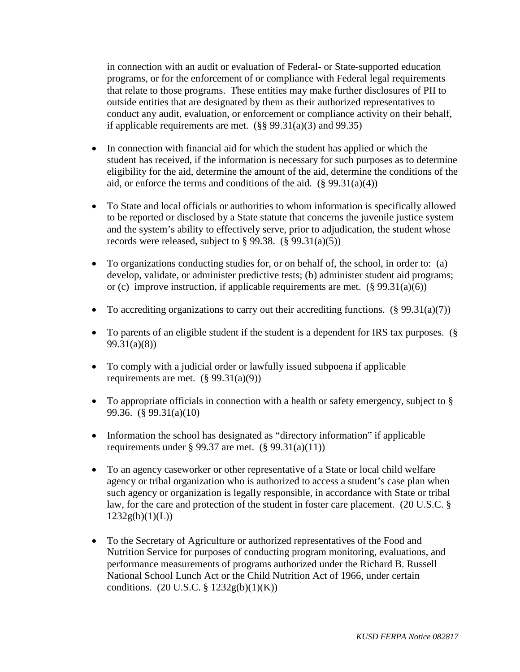in connection with an audit or evaluation of Federal- or State-supported education programs, or for the enforcement of or compliance with Federal legal requirements that relate to those programs. These entities may make further disclosures of PII to outside entities that are designated by them as their authorized representatives to conduct any audit, evaluation, or enforcement or compliance activity on their behalf, if applicable requirements are met.  $(\S$ § 99.31(a)(3) and 99.35)

- In connection with financial aid for which the student has applied or which the student has received, if the information is necessary for such purposes as to determine eligibility for the aid, determine the amount of the aid, determine the conditions of the aid, or enforce the terms and conditions of the aid.  $(\S 99.31(a)(4))$
- To State and local officials or authorities to whom information is specifically allowed to be reported or disclosed by a State statute that concerns the juvenile justice system and the system's ability to effectively serve, prior to adjudication, the student whose records were released, subject to  $\S 99.38$ . ( $\S 99.31(a)(5)$ )
- To organizations conducting studies for, or on behalf of, the school, in order to: (a) develop, validate, or administer predictive tests; (b) administer student aid programs; or (c) improve instruction, if applicable requirements are met.  $(\S 99.31(a)(6))$
- To accrediting organizations to carry out their accrediting functions.  $(\frac{8}{9}99.31(a)(7))$
- To parents of an eligible student if the student is a dependent for IRS tax purposes. (§ 99.31(a)(8))
- To comply with a judicial order or lawfully issued subpoena if applicable requirements are met.  $(\S 99.31(a)(9))$
- To appropriate officials in connection with a health or safety emergency, subject to § 99.36. (§ 99.31(a)(10)
- Information the school has designated as "directory information" if applicable requirements under § 99.37 are met.  $(\S 99.31(a)(11))$
- To an agency caseworker or other representative of a State or local child welfare agency or tribal organization who is authorized to access a student's case plan when such agency or organization is legally responsible, in accordance with State or tribal law, for the care and protection of the student in foster care placement. (20 U.S.C. §  $1232g(b)(1)(L))$
- To the Secretary of Agriculture or authorized representatives of the Food and Nutrition Service for purposes of conducting program monitoring, evaluations, and performance measurements of programs authorized under the Richard B. Russell National School Lunch Act or the Child Nutrition Act of 1966, under certain conditions.  $(20 \text{ U.S.C.} \S 1232g(b)(1)(K))$